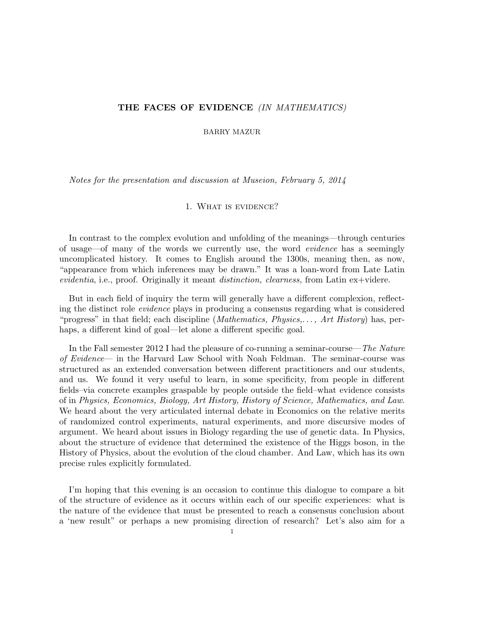# THE FACES OF EVIDENCE (IN MATHEMATICS)

BARRY MAZUR

Notes for the presentation and discussion at Museion, February 5, 2014

## 1. What is evidence?

In contrast to the complex evolution and unfolding of the meanings—through centuries of usage—of many of the words we currently use, the word evidence has a seemingly uncomplicated history. It comes to English around the 1300s, meaning then, as now, "appearance from which inferences may be drawn." It was a loan-word from Late Latin evidentia, i.e., proof. Originally it meant distinction, clearness, from Latin ex+videre.

But in each field of inquiry the term will generally have a different complexion, reflecting the distinct role evidence plays in producing a consensus regarding what is considered "progress" in that field; each discipline (*Mathematics, Physics,..., Art History*) has, perhaps, a different kind of goal—let alone a different specific goal.

In the Fall semester 2012 I had the pleasure of co-running a seminar-course—The Nature of Evidence— in the Harvard Law School with Noah Feldman. The seminar-course was structured as an extended conversation between different practitioners and our students, and us. We found it very useful to learn, in some specificity, from people in different fields–via concrete examples graspable by people outside the field–what evidence consists of in Physics, Economics, Biology, Art History, History of Science, Mathematics, and Law. We heard about the very articulated internal debate in Economics on the relative merits of randomized control experiments, natural experiments, and more discursive modes of argument. We heard about issues in Biology regarding the use of genetic data. In Physics, about the structure of evidence that determined the existence of the Higgs boson, in the History of Physics, about the evolution of the cloud chamber. And Law, which has its own precise rules explicitly formulated.

I'm hoping that this evening is an occasion to continue this dialogue to compare a bit of the structure of evidence as it occurs within each of our specific experiences: what is the nature of the evidence that must be presented to reach a consensus conclusion about a 'new result" or perhaps a new promising direction of research? Let's also aim for a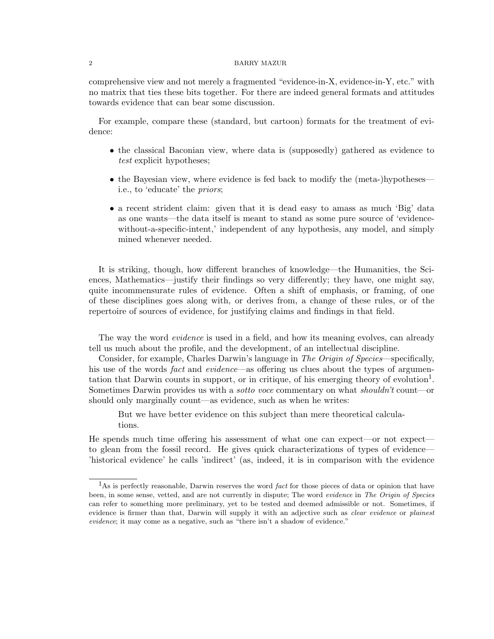comprehensive view and not merely a fragmented "evidence-in-X, evidence-in-Y, etc." with no matrix that ties these bits together. For there are indeed general formats and attitudes towards evidence that can bear some discussion.

For example, compare these (standard, but cartoon) formats for the treatment of evidence:

- the classical Baconian view, where data is (supposedly) gathered as evidence to test explicit hypotheses;
- the Bayesian view, where evidence is fed back to modify the (meta-)hypotheses i.e., to 'educate' the priors;
- a recent strident claim: given that it is dead easy to amass as much 'Big' data as one wants—the data itself is meant to stand as some pure source of 'evidencewithout-a-specific-intent,' independent of any hypothesis, any model, and simply mined whenever needed.

It is striking, though, how different branches of knowledge—the Humanities, the Sciences, Mathematics—justify their findings so very differently; they have, one might say, quite incommensurate rules of evidence. Often a shift of emphasis, or framing, of one of these disciplines goes along with, or derives from, a change of these rules, or of the repertoire of sources of evidence, for justifying claims and findings in that field.

The way the word *evidence* is used in a field, and how its meaning evolves, can already tell us much about the profile, and the development, of an intellectual discipline.

Consider, for example, Charles Darwin's language in The Origin of Species—specifically, his use of the words *fact* and *evidence*—as offering us clues about the types of argumentation that Darwin counts in support, or in critique, of his emerging theory of evolution<sup>1</sup>. Sometimes Darwin provides us with a *sotto voce* commentary on what *shouldn't* count—or should only marginally count—as evidence, such as when he writes:

But we have better evidence on this subject than mere theoretical calculations.

He spends much time offering his assessment of what one can expect—or not expect to glean from the fossil record. He gives quick characterizations of types of evidence— 'historical evidence' he calls 'indirect' (as, indeed, it is in comparison with the evidence

 $1<sup>1</sup>$ As is perfectly reasonable, Darwin reserves the word *fact* for those pieces of data or opinion that have been, in some sense, vetted, and are not currently in dispute; The word evidence in The Origin of Species can refer to something more preliminary, yet to be tested and deemed admissible or not. Sometimes, if evidence is firmer than that, Darwin will supply it with an adjective such as *clear evidence* or *plainest* evidence; it may come as a negative, such as "there isn't a shadow of evidence."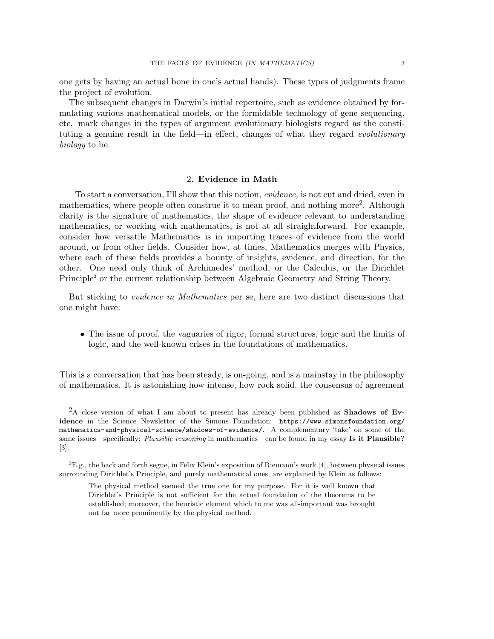one gets by having an actual bone in one's actual hands). These types of judgments frame the project of evolution.

The subsequent changes in Darwin's initial repertoire, such as evidence obtained by formulating various mathematical models, or the formidable technology of gene sequencing, etc. mark changes in the types of argument evolutionary biologists regard as the constituting a genuine result in the field—in effect, changes of what they regard *evolutionary* biology to be.

# 2. Evidence in Math

To start a conversation, I'll show that this notion, evidence, is not cut and dried, even in mathematics, where people often construe it to mean proof, and nothing more<sup>2</sup>. Although clarity is the signature of mathematics, the shape of evidence relevant to understanding mathematics, or working with mathematics, is not at all straightforward. For example, consider how versatile Mathematics is in importing traces of evidence from the world around, or from other fields. Consider how, at times, Mathematics merges with Physics, where each of these fields provides a bounty of insights, evidence, and direction, for the other. One need only think of Archimedes' method, or the Calculus, or the Dirichlet Principle<sup>3</sup> or the current relationship between Algebraic Geometry and String Theory.

But sticking to evidence in Mathematics per se, here are two distinct discussions that one might have:

• The issue of proof, the vaguaries of rigor, formal structures, logic and the limits of logic, and the well-known crises in the foundations of mathematics.

This is a conversation that has been steady, is on-going, and is a mainstay in the philosophy of mathematics. It is astonishing how intense, how rock solid, the consensus of agreement

<sup>&</sup>lt;sup>2</sup>A close version of what I am about to present has already been published as **Shadows of Ev**idence in the Science Newsletter of the Simons Foundation: https://www.simonsfoundation.org/ mathematics-and-physical-science/shadows-of-evidence/. A complementary 'take' on some of the same issues—specifically: Plausible reasoning in mathematics—can be found in my essay Is it Plausible? [3].

 ${}^{3}E.g.,$  the back and forth segue, in Felix Klein's exposition of Riemann's work [4], between physical issues surrounding Dirichlet's Principle, and purely mathematical ones, are explained by Klein as follows:

The physical method seemed the true one for my purpose. For it is well known that Dirichlet's Principle is not sufficient for the actual foundation of the theorems to be established; moreover, the heuristic element which to me was all-important was brought out far more prominently by the physical method.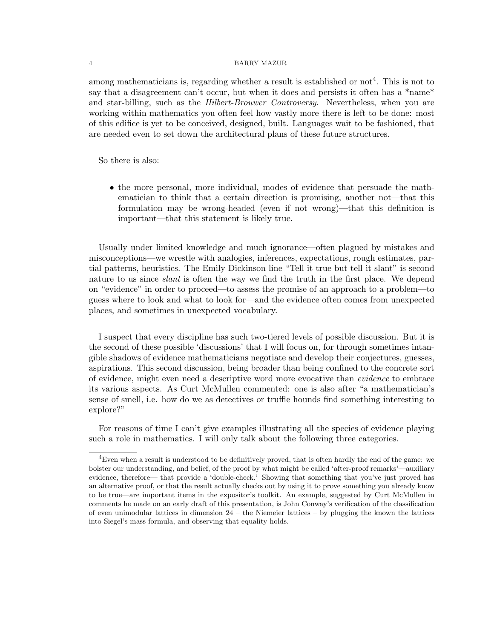among mathematicians is, regarding whether a result is established or  $\text{not}^4$ . This is not to say that a disagreement can't occur, but when it does and persists it often has a \*name\* and star-billing, such as the *Hilbert-Brouwer Controversy*. Nevertheless, when you are working within mathematics you often feel how vastly more there is left to be done: most of this edifice is yet to be conceived, designed, built. Languages wait to be fashioned, that are needed even to set down the architectural plans of these future structures.

So there is also:

• the more personal, more individual, modes of evidence that persuade the mathematician to think that a certain direction is promising, another not—that this formulation may be wrong-headed (even if not wrong)—that this definition is important—that this statement is likely true.

Usually under limited knowledge and much ignorance—often plagued by mistakes and misconceptions—we wrestle with analogies, inferences, expectations, rough estimates, partial patterns, heuristics. The Emily Dickinson line "Tell it true but tell it slant" is second nature to us since *slant* is often the way we find the truth in the first place. We depend on "evidence" in order to proceed—to assess the promise of an approach to a problem—to guess where to look and what to look for—and the evidence often comes from unexpected places, and sometimes in unexpected vocabulary.

I suspect that every discipline has such two-tiered levels of possible discussion. But it is the second of these possible 'discussions' that I will focus on, for through sometimes intangible shadows of evidence mathematicians negotiate and develop their conjectures, guesses, aspirations. This second discussion, being broader than being confined to the concrete sort of evidence, might even need a descriptive word more evocative than evidence to embrace its various aspects. As Curt McMullen commented: one is also after "a mathematician's sense of smell, i.e. how do we as detectives or truffle hounds find something interesting to explore?"

For reasons of time I can't give examples illustrating all the species of evidence playing such a role in mathematics. I will only talk about the following three categories.

 ${}^{4}$ Even when a result is understood to be definitively proved, that is often hardly the end of the game: we bolster our understanding, and belief, of the proof by what might be called 'after-proof remarks'—auxiliary evidence, therefore— that provide a 'double-check.' Showing that something that you've just proved has an alternative proof, or that the result actually checks out by using it to prove something you already know to be true—are important items in the expositor's toolkit. An example, suggested by Curt McMullen in comments he made on an early draft of this presentation, is John Conway's verification of the classification of even unimodular lattices in dimension 24 – the Niemeier lattices – by plugging the known the lattices into Siegel's mass formula, and observing that equality holds.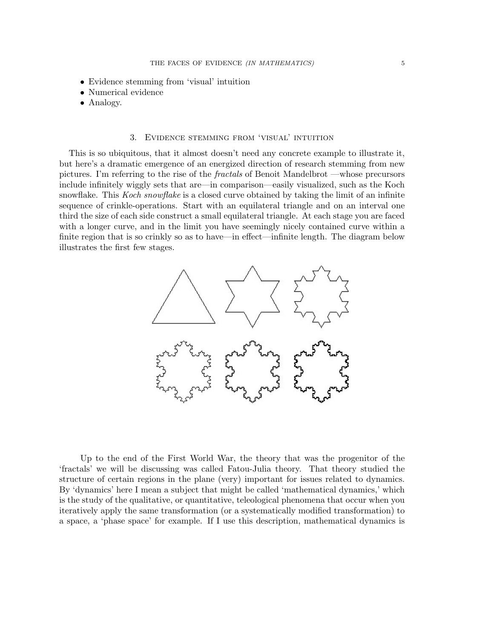- Evidence stemming from 'visual' intuition
- Numerical evidence
- Analogy.

## 3. Evidence stemming from 'visual' intuition

This is so ubiquitous, that it almost doesn't need any concrete example to illustrate it, but here's a dramatic emergence of an energized direction of research stemming from new pictures. I'm referring to the rise of the fractals of Benoit Mandelbrot —whose precursors include infinitely wiggly sets that are—in comparison—easily visualized, such as the Koch snowflake. This *Koch snowflake* is a closed curve obtained by taking the limit of an infinite sequence of crinkle-operations. Start with an equilateral triangle and on an interval one third the size of each side construct a small equilateral triangle. At each stage you are faced with a longer curve, and in the limit you have seemingly nicely contained curve within a finite region that is so crinkly so as to have—in effect—infinite length. The diagram below illustrates the first few stages.



Up to the end of the First World War, the theory that was the progenitor of the 'fractals' we will be discussing was called Fatou-Julia theory. That theory studied the structure of certain regions in the plane (very) important for issues related to dynamics. By 'dynamics' here I mean a subject that might be called 'mathematical dynamics,' which is the study of the qualitative, or quantitative, teleological phenomena that occur when you iteratively apply the same transformation (or a systematically modified transformation) to a space, a 'phase space' for example. If I use this description, mathematical dynamics is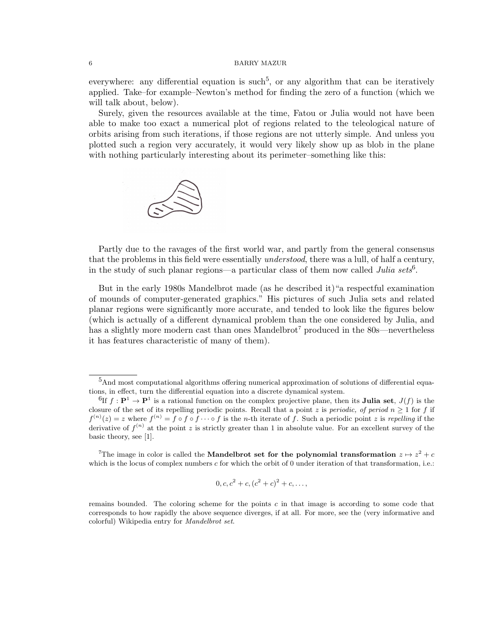everywhere: any differential equation is such<sup>5</sup>, or any algorithm that can be iteratively applied. Take–for example–Newton's method for finding the zero of a function (which we will talk about, below).

Surely, given the resources available at the time, Fatou or Julia would not have been able to make too exact a numerical plot of regions related to the teleological nature of orbits arising from such iterations, if those regions are not utterly simple. And unless you plotted such a region very accurately, it would very likely show up as blob in the plane with nothing particularly interesting about its perimeter–something like this:



Partly due to the ravages of the first world war, and partly from the general consensus that the problems in this field were essentially *understood*, there was a lull, of half a century, in the study of such planar regions—a particular class of them now called *Julia sets*<sup>6</sup>.

But in the early 1980s Mandelbrot made (as he described it)"a respectful examination of mounds of computer-generated graphics." His pictures of such Julia sets and related planar regions were significantly more accurate, and tended to look like the figures below (which is actually of a different dynamical problem than the one considered by Julia, and has a slightly more modern cast than ones Mandelbrot<sup>7</sup> produced in the 80s—nevertheless it has features characteristic of many of them).

<sup>7</sup>The image in color is called the Mandelbrot set for the polynomial transformation  $z \mapsto z^2 + c$ which is the locus of complex numbers  $c$  for which the orbit of 0 under iteration of that transformation, i.e.:

$$
0, c, c2 + c, (c2 + c)2 + c, ...,
$$

<sup>5</sup>And most computational algorithms offering numerical approximation of solutions of differential equations, in effect, turn the differential equation into a discrete dynamical system.

 ${}^{6}$ If  $f: \mathbf{P}^1 \to \mathbf{P}^1$  is a rational function on the complex projective plane, then its **Julia set**,  $J(f)$  is the closure of the set of its repelling periodic points. Recall that a point z is *periodic*, of period  $n \geq 1$  for f if  $f^{(n)}(z) = z$  where  $f^{(n)} = f \circ f \circ f \cdots \circ f$  is the *n*-th iterate of f. Such a periodic point z is repelling if the derivative of  $f^{(n)}$  at the point z is strictly greater than 1 in absolute value. For an excellent survey of the basic theory, see [1].

remains bounded. The coloring scheme for the points  $c$  in that image is according to some code that corresponds to how rapidly the above sequence diverges, if at all. For more, see the (very informative and colorful) Wikipedia entry for Mandelbrot set.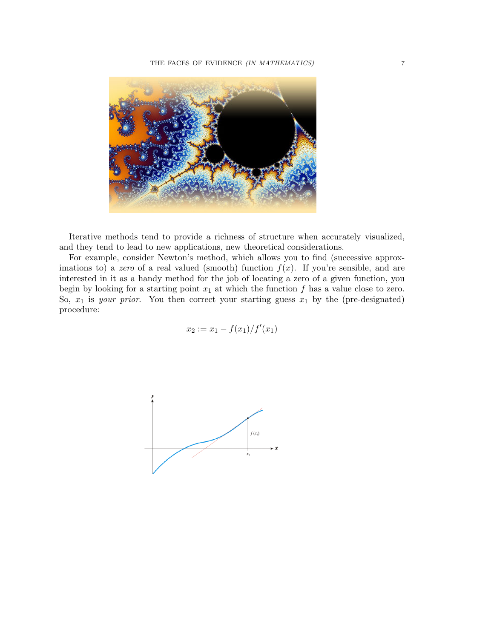

Iterative methods tend to provide a richness of structure when accurately visualized, and they tend to lead to new applications, new theoretical considerations.

For example, consider Newton's method, which allows you to find (successive approximations to) a zero of a real valued (smooth) function  $f(x)$ . If you're sensible, and are interested in it as a handy method for the job of locating a zero of a given function, you begin by looking for a starting point  $x_1$  at which the function f has a value close to zero. So,  $x_1$  is *your prior.* You then correct your starting guess  $x_1$  by the (pre-designated) procedure:

$$
x_2 := x_1 - \frac{f(x_1)}{f'(x_1)}
$$

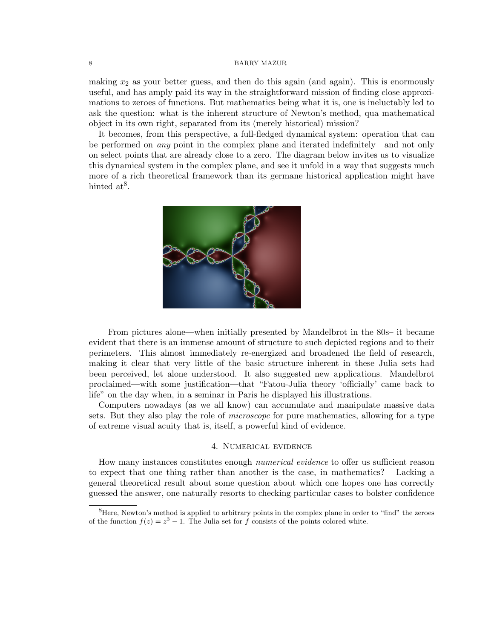making  $x_2$  as your better guess, and then do this again (and again). This is enormously useful, and has amply paid its way in the straightforward mission of finding close approximations to zeroes of functions. But mathematics being what it is, one is ineluctably led to ask the question: what is the inherent structure of Newton's method, qua mathematical object in its own right, separated from its (merely historical) mission?

It becomes, from this perspective, a full-fledged dynamical system: operation that can be performed on any point in the complex plane and iterated indefinitely—and not only on select points that are already close to a zero. The diagram below invites us to visualize this dynamical system in the complex plane, and see it unfold in a way that suggests much more of a rich theoretical framework than its germane historical application might have hinted  $at^8$ .



From pictures alone—when initially presented by Mandelbrot in the 80s– it became evident that there is an immense amount of structure to such depicted regions and to their perimeters. This almost immediately re-energized and broadened the field of research, making it clear that very little of the basic structure inherent in these Julia sets had been perceived, let alone understood. It also suggested new applications. Mandelbrot proclaimed—with some justification—that "Fatou-Julia theory 'officially' came back to life" on the day when, in a seminar in Paris he displayed his illustrations.

Computers nowadays (as we all know) can accumulate and manipulate massive data sets. But they also play the role of microscope for pure mathematics, allowing for a type of extreme visual acuity that is, itself, a powerful kind of evidence.

### 4. Numerical evidence

How many instances constitutes enough *numerical evidence* to offer us sufficient reason to expect that one thing rather than another is the case, in mathematics? Lacking a general theoretical result about some question about which one hopes one has correctly guessed the answer, one naturally resorts to checking particular cases to bolster confidence

 ${}^{8}$ Here, Newton's method is applied to arbitrary points in the complex plane in order to "find" the zeroes of the function  $f(z) = z^3 - 1$ . The Julia set for f consists of the points colored white.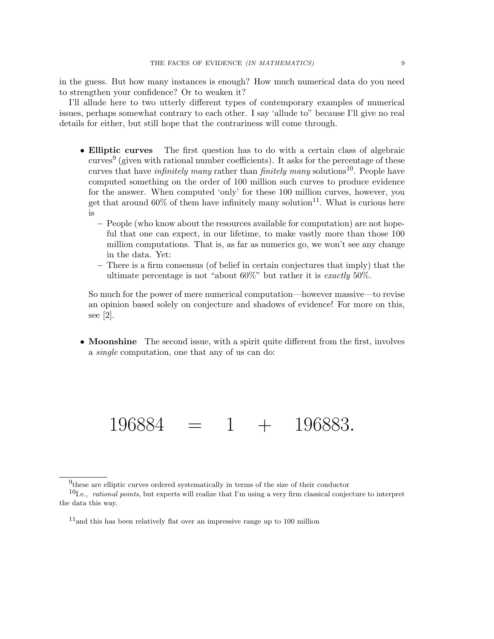in the guess. But how many instances is enough? How much numerical data do you need to strengthen your confidence? Or to weaken it?

I'll allude here to two utterly different types of contemporary examples of numerical issues, perhaps somewhat contrary to each other. I say 'allude to" because I'll give no real details for either, but still hope that the contrariness will come through.

- Elliptic curves The first question has to do with a certain class of algebraic  $curves<sup>9</sup>$  (given with rational number coefficients). It asks for the percentage of these curves that have *infinitely many* rather than *finitely many* solutions<sup>10</sup>. People have computed something on the order of 100 million such curves to produce evidence for the answer. When computed 'only' for these 100 million curves, however, you get that around 60% of them have infinitely many solution<sup>11</sup>. What is curious here is
	- People (who know about the resources available for computation) are not hopeful that one can expect, in our lifetime, to make vastly more than those 100 million computations. That is, as far as numerics go, we won't see any change in the data. Yet:
	- There is a firm consensus (of belief in certain conjectures that imply) that the ultimate percentage is not "about  $60\%$ " but rather it is exactly  $50\%$ .

So much for the power of mere numerical computation—however massive—to revise an opinion based solely on conjecture and shadows of evidence! For more on this, see [2].

• Moonshine The second issue, with a spirit quite different from the first, involves a single computation, one that any of us can do:

 $196884 = 1 + 196883.$ 

<sup>&</sup>lt;sup>9</sup>these are elliptic curves ordered systematically in terms of the size of their conductor

<sup>10</sup>I.e., rational points, but experts will realize that I'm using a very firm classical conjecture to interpret the data this way.

<sup>11</sup>and this has been relatively flat over an impressive range up to 100 million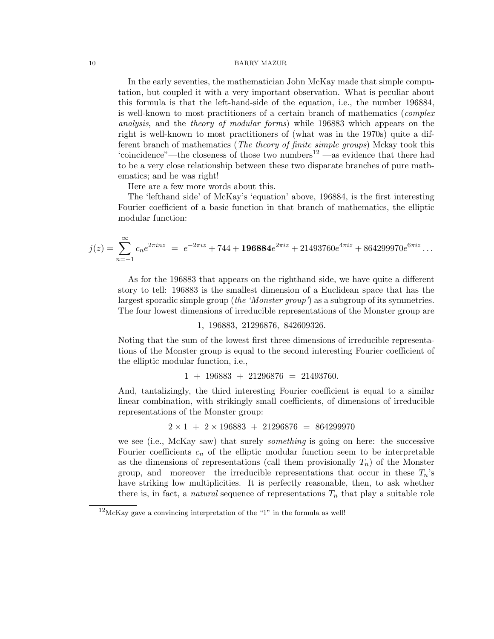In the early seventies, the mathematician John McKay made that simple computation, but coupled it with a very important observation. What is peculiar about this formula is that the left-hand-side of the equation, i.e., the number 196884, is well-known to most practitioners of a certain branch of mathematics (*complex* analysis, and the theory of modular forms) while 196883 which appears on the right is well-known to most practitioners of (what was in the 1970s) quite a different branch of mathematics (*The theory of finite simple groups*) Mckay took this 'coincidence"—the closeness of those two numbers<sup>12</sup> —as evidence that there had to be a very close relationship between these two disparate branches of pure mathematics; and he was right!

Here are a few more words about this.

The 'lefthand side' of McKay's 'equation' above, 196884, is the first interesting Fourier coefficient of a basic function in that branch of mathematics, the elliptic modular function:

$$
j(z) = \sum_{n=-1}^{\infty} c_n e^{2\pi i n z} = e^{-2\pi i z} + 744 + 196884e^{2\pi i z} + 21493760e^{4\pi i z} + 864299970e^{6\pi i z} \dots
$$

As for the 196883 that appears on the righthand side, we have quite a different story to tell: 196883 is the smallest dimension of a Euclidean space that has the largest sporadic simple group (the 'Monster group') as a subgroup of its symmetries. The four lowest dimensions of irreducible representations of the Monster group are

#### 1, 196883, 21296876, 842609326.

Noting that the sum of the lowest first three dimensions of irreducible representations of the Monster group is equal to the second interesting Fourier coefficient of the elliptic modular function, i.e.,

$$
1 + 196883 + 21296876 = 21493760.
$$

And, tantalizingly, the third interesting Fourier coefficient is equal to a similar linear combination, with strikingly small coefficients, of dimensions of irreducible representations of the Monster group:

$$
2 \times 1 + 2 \times 196883 + 21296876 = 864299970
$$

we see (i.e., McKay saw) that surely *something* is going on here: the successive Fourier coefficients  $c_n$  of the elliptic modular function seem to be interpretable as the dimensions of representations (call them provisionally  $T_n$ ) of the Monster group, and—moreover—the irreducible representations that occur in these  $T_n$ 's have striking low multiplicities. It is perfectly reasonable, then, to ask whether there is, in fact, a *natural* sequence of representations  $T_n$  that play a suitable role

 $12$ McKay gave a convincing interpretation of the "1" in the formula as well!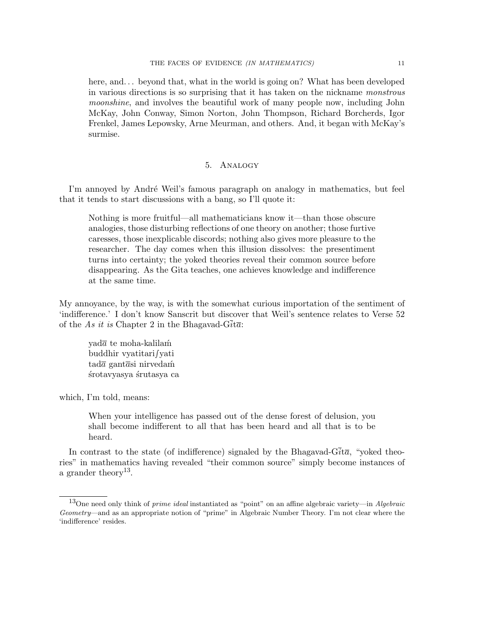here, and... beyond that, what in the world is going on? What has been developed in various directions is so surprising that it has taken on the nickname monstrous moonshine, and involves the beautiful work of many people now, including John McKay, John Conway, Simon Norton, John Thompson, Richard Borcherds, Igor Frenkel, James Lepowsky, Arne Meurman, and others. And, it began with McKay's surmise.

# 5. Analogy

I'm annoyed by André Weil's famous paragraph on analogy in mathematics, but feel that it tends to start discussions with a bang, so I'll quote it:

Nothing is more fruitful—all mathematicians know it—than those obscure analogies, those disturbing reflections of one theory on another; those furtive caresses, those inexplicable discords; nothing also gives more pleasure to the researcher. The day comes when this illusion dissolves: the presentiment turns into certainty; the yoked theories reveal their common source before disappearing. As the Gita teaches, one achieves knowledge and indifference at the same time.

My annoyance, by the way, is with the somewhat curious importation of the sentiment of 'indifference.' I don't know Sanscrit but discover that Weil's sentence relates to Verse 52 of the As it is Chapter 2 in the Bhagavad-G $\overline{i}$ ta:

yad $\bar{a}$  te moha-kalilam buddhir vyatitari∫yati  $\text{tad}\overline{a}$  gant $\overline{a}$ si nirvedam ´srotavyasya ´srutasya ca

which, I'm told, means:

When your intelligence has passed out of the dense forest of delusion, you shall become indifferent to all that has been heard and all that is to be heard.

In contrast to the state (of indifference) signaled by the Bhagavad-G $\overline{i}$ t $\overline{a}$ , "voked theories" in mathematics having revealed "their common source" simply become instances of a grander theory<sup>13</sup>.

<sup>&</sup>lt;sup>13</sup>One need only think of *prime ideal* instantiated as "point" on an affine algebraic variety—in Algebraic Geometry—and as an appropriate notion of "prime" in Algebraic Number Theory. I'm not clear where the 'indifference' resides.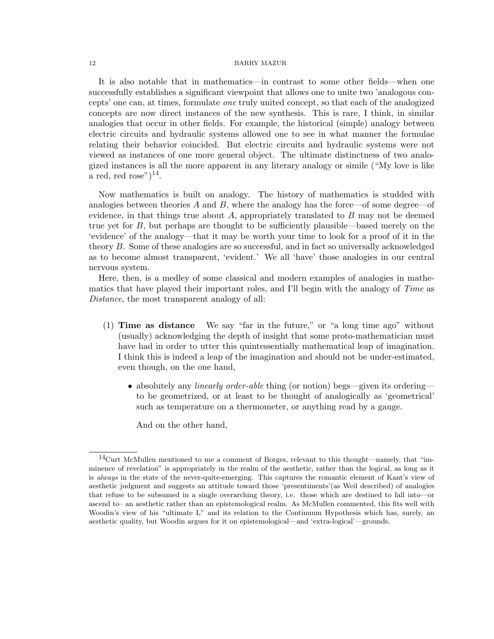It is also notable that in mathematics—in contrast to some other fields—when one successfully establishes a significant viewpoint that allows one to unite two 'analogous concepts' one can, at times, formulate one truly united concept, so that each of the analogized concepts are now direct instances of the new synthesis. This is rare, I think, in similar analogies that occur in other fields. For example, the historical (simple) analogy between electric circuits and hydraulic systems allowed one to see in what manner the formulae relating their behavior coincided. But electric circuits and hydraulic systems were not viewed as instances of one more general object. The ultimate distinctness of two analogized instances is all the more apparent in any literary analogy or simile ("My love is like a red, red rose") $^{14}$ .

Now mathematics is built on analogy. The history of mathematics is studded with analogies between theories  $A$  and  $B$ , where the analogy has the force—of some degree—of evidence, in that things true about A, appropriately translated to  $B$  may not be deemed true yet for  $B$ , but perhaps are thought to be sufficiently plausible—based merely on the 'evidence' of the analogy—that it may be worth your time to look for a proof of it in the theory B. Some of these analogies are so successful, and in fact so universally acknowledged as to become almost transparent, 'evident.' We all 'have' those analogies in our central nervous system.

Here, then, is a medley of some classical and modern examples of analogies in mathematics that have played their important roles, and I'll begin with the analogy of Time as Distance, the most transparent analogy of all:

- (1) Time as distance We say "far in the future," or "a long time ago" without (usually) acknowledging the depth of insight that some proto-mathematician must have had in order to utter this quintessentially mathematical leap of imagination. I think this is indeed a leap of the imagination and should not be under-estimated, even though, on the one hand,
	- absolutely any *linearly order-able* thing (or notion) begs—given its ordering to be geometrized, or at least to be thought of analogically as 'geometrical' such as temperature on a thermometer, or anything read by a gauge.

And on the other hand,

<sup>14</sup>Curt McMullen mentioned to me a comment of Borges, relevant to this thought—namely, that "imminence of revelation" is appropriately in the realm of the aesthetic, rather than the logical, as long as it is always in the state of the never-quite-emerging. This captures the romantic element of Kant's view of aesthetic judgment and suggests an attitude toward those 'presentiments'(as Weil described) of analogies that refuse to be subsumed in a single overarching theory, i.e. those which are destined to fall into—or ascend to– an aesthetic rather than an epistemological realm. As McMullen commented, this fits well with Woodin's view of his "ultimate L" and its relation to the Continuum Hypothesis which has, surely, an aesthetic quality, but Woodin argues for it on epistemological—and 'extra-logical'—grounds.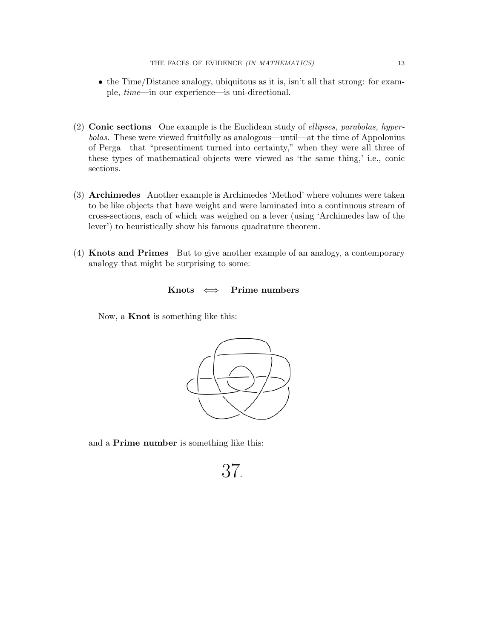- the Time/Distance analogy, ubiquitous as it is, isn't all that strong: for example, time—in our experience—is uni-directional.
- (2) Conic sections One example is the Euclidean study of ellipses, parabolas, hyperbolas. These were viewed fruitfully as analogous—until—at the time of Appolonius of Perga—that "presentiment turned into certainty," when they were all three of these types of mathematical objects were viewed as 'the same thing,' i.e., conic sections.
- (3) Archimedes Another example is Archimedes 'Method' where volumes were taken to be like objects that have weight and were laminated into a continuous stream of cross-sections, each of which was weighed on a lever (using 'Archimedes law of the lever') to heuristically show his famous quadrature theorem.
- (4) Knots and Primes But to give another example of an analogy, a contemporary analogy that might be surprising to some:

# Knots  $\iff$  Prime numbers

Now, a Knot is something like this:



and a Prime number is something like this:

37.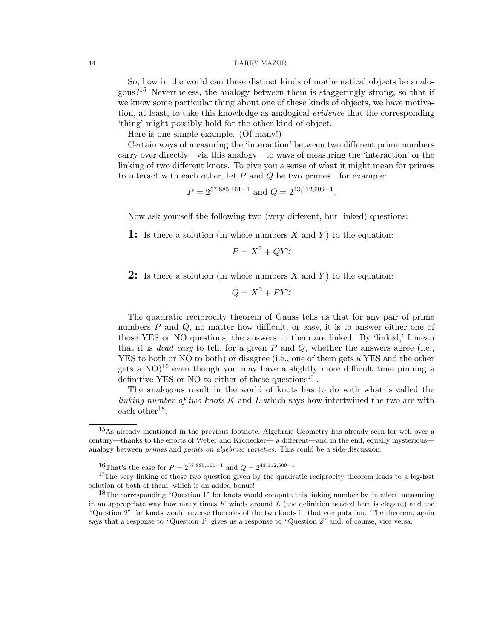So, how in the world can these distinct kinds of mathematical objects be analogous?<sup>15</sup> Nevertheless, the analogy between them is staggeringly strong, so that if we know some particular thing about one of these kinds of objects, we have motivation, at least, to take this knowledge as analogical evidence that the corresponding 'thing' might possibly hold for the other kind of object.

Here is one simple example. (Of many!)

Certain ways of measuring the 'interaction' between two different prime numbers carry over directly—via this analogy—to ways of measuring the 'interaction' or the linking of two different knots. To give you a sense of what it might mean for primes to interact with each other, let  $P$  and  $Q$  be two primes—for example:

 $P = 2^{57,885,161-1}$  and  $Q = 2^{43,112,609-1}$ .

Now ask yourself the following two (very different, but linked) questions:

**1:** Is there a solution (in whole numbers  $X$  and  $Y$ ) to the equation:

$$
P = X^2 + QY?
$$

**2:** Is there a solution (in whole numbers X and Y) to the equation:

 $Q = X^2 + PY?$ 

The quadratic reciprocity theorem of Gauss tells us that for any pair of prime numbers P and Q, no matter how difficult, or easy, it is to answer either one of those YES or NO questions, the answers to them are linked. By 'linked,' I mean that it is *dead easy* to tell, for a given  $P$  and  $Q$ , whether the answers agree (i.e., YES to both or NO to both) or disagree (i.e., one of them gets a YES and the other gets a  $NO$ <sup>16</sup> even though you may have a slightly more difficult time pinning a definitive YES or NO to either of these questions<sup>17</sup>.

The analogous result in the world of knots has to do with what is called the linking number of two knots K and L which says how intertwined the two are with each other<sup>18</sup>.

<sup>&</sup>lt;sup>15</sup>As already mentioned in the previous footnote, Algebraic Geometry has already seen for well over a century—thanks to the efforts of Weber and Kronecker— a different—and in the end, equally mysterious analogy between *primes* and *points on algebraic varieties*. This could be a side-discussion.

<sup>&</sup>lt;sup>16</sup>That's the case for  $P = 2^{57,885,161-1}$  and  $Q = 2^{43,112,609-1}$ .

<sup>&</sup>lt;sup>17</sup>The very linking of those two question given by the quadratic reciprocity theorem leads to a log-fast solution of both of them, which is an added bonus!

<sup>18</sup>The corresponding "Question 1" for knots would compute this linking number by–in effect–measuring in an appropriate way how many times  $K$  winds around  $L$  (the definition needed here is elegant) and the "Question 2" for knots would reverse the roles of the two knots in that computation. The theorem, again says that a response to "Question 1" gives us a response to "Question 2" and, of course, vice versa.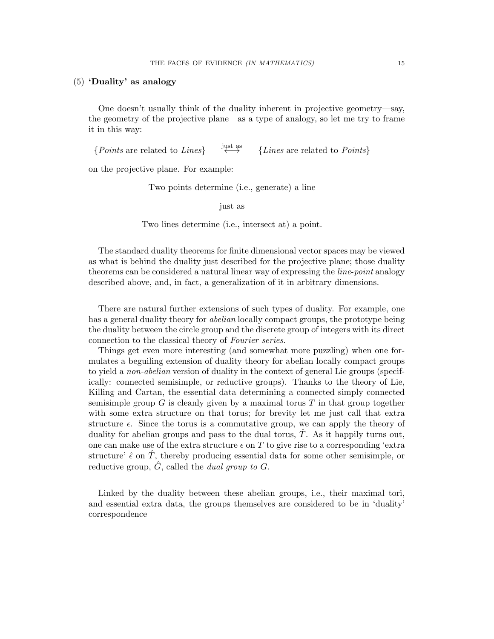## (5) 'Duality' as analogy

One doesn't usually think of the duality inherent in projective geometry—say, the geometry of the projective plane—as a type of analogy, so let me try to frame it in this way:

{Points are related to Lines}  $\overleftrightarrow{\leftrightarrow}$  {Lines are related to Points}

on the projective plane. For example:

Two points determine (i.e., generate) a line

just as

Two lines determine (i.e., intersect at) a point.

The standard duality theorems for finite dimensional vector spaces may be viewed as what is behind the duality just described for the projective plane; those duality theorems can be considered a natural linear way of expressing the *line-point* analogy described above, and, in fact, a generalization of it in arbitrary dimensions.

There are natural further extensions of such types of duality. For example, one has a general duality theory for *abelian* locally compact groups, the prototype being the duality between the circle group and the discrete group of integers with its direct connection to the classical theory of Fourier series.

Things get even more interesting (and somewhat more puzzling) when one formulates a beguiling extension of duality theory for abelian locally compact groups to yield a *non-abelian* version of duality in the context of general Lie groups (specifically: connected semisimple, or reductive groups). Thanks to the theory of Lie, Killing and Cartan, the essential data determining a connected simply connected semisimple group  $G$  is cleanly given by a maximal torus  $T$  in that group together with some extra structure on that torus; for brevity let me just call that extra structure  $\epsilon$ . Since the torus is a commutative group, we can apply the theory of duality for abelian groups and pass to the dual torus,  $\hat{T}$ . As it happily turns out, one can make use of the extra structure  $\epsilon$  on T to give rise to a corresponding 'extra structure'  $\hat{\epsilon}$  on  $\hat{T}$ , thereby producing essential data for some other semisimple, or reductive group,  $\hat{G}$ , called the *dual group to G*.

Linked by the duality between these abelian groups, i.e., their maximal tori, and essential extra data, the groups themselves are considered to be in 'duality' correspondence